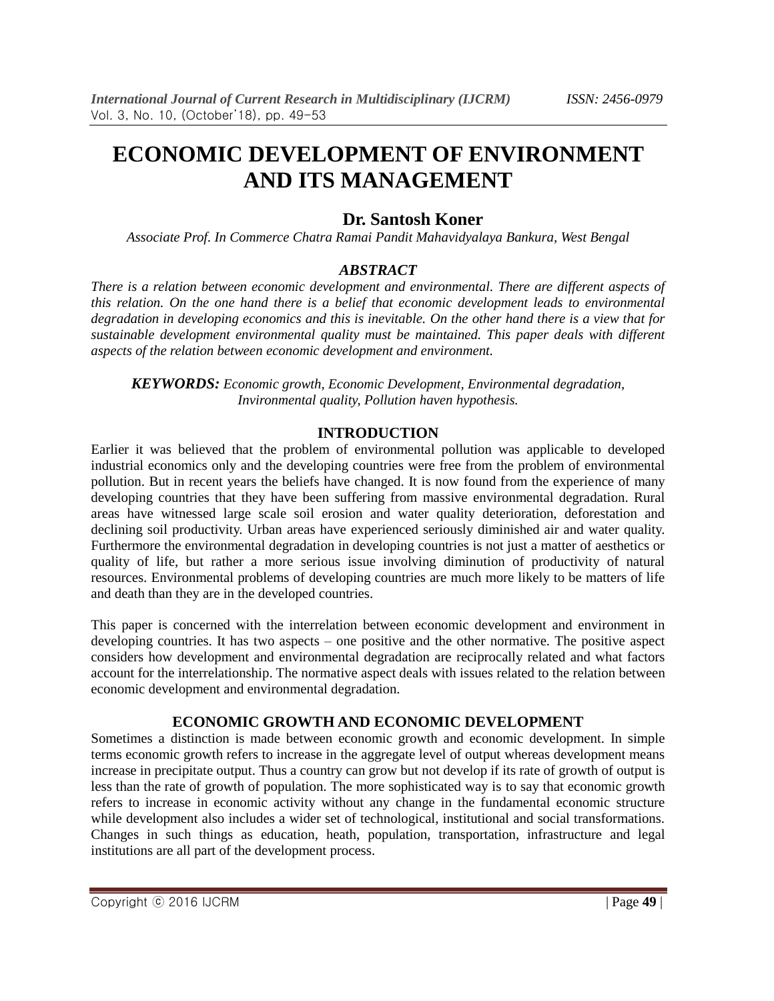# **ECONOMIC DEVELOPMENT OF ENVIRONMENT AND ITS MANAGEMENT**

# **Dr. Santosh Koner**

*Associate Prof. In Commerce Chatra Ramai Pandit Mahavidyalaya Bankura, West Bengal*

# *ABSTRACT*

*There is a relation between economic development and environmental. There are different aspects of this relation. On the one hand there is a belief that economic development leads to environmental degradation in developing economics and this is inevitable. On the other hand there is a view that for sustainable development environmental quality must be maintained. This paper deals with different aspects of the relation between economic development and environment.*

*KEYWORDS: Economic growth, Economic Development, Environmental degradation, Invironmental quality, Pollution haven hypothesis.*

## **INTRODUCTION**

Earlier it was believed that the problem of environmental pollution was applicable to developed industrial economics only and the developing countries were free from the problem of environmental pollution. But in recent years the beliefs have changed. It is now found from the experience of many developing countries that they have been suffering from massive environmental degradation. Rural areas have witnessed large scale soil erosion and water quality deterioration, deforestation and declining soil productivity. Urban areas have experienced seriously diminished air and water quality. Furthermore the environmental degradation in developing countries is not just a matter of aesthetics or quality of life, but rather a more serious issue involving diminution of productivity of natural resources. Environmental problems of developing countries are much more likely to be matters of life and death than they are in the developed countries.

This paper is concerned with the interrelation between economic development and environment in developing countries. It has two aspects – one positive and the other normative. The positive aspect considers how development and environmental degradation are reciprocally related and what factors account for the interrelationship. The normative aspect deals with issues related to the relation between economic development and environmental degradation.

# **ECONOMIC GROWTH AND ECONOMIC DEVELOPMENT**

Sometimes a distinction is made between economic growth and economic development. In simple terms economic growth refers to increase in the aggregate level of output whereas development means increase in precipitate output. Thus a country can grow but not develop if its rate of growth of output is less than the rate of growth of population. The more sophisticated way is to say that economic growth refers to increase in economic activity without any change in the fundamental economic structure while development also includes a wider set of technological, institutional and social transformations. Changes in such things as education, heath, population, transportation, infrastructure and legal institutions are all part of the development process.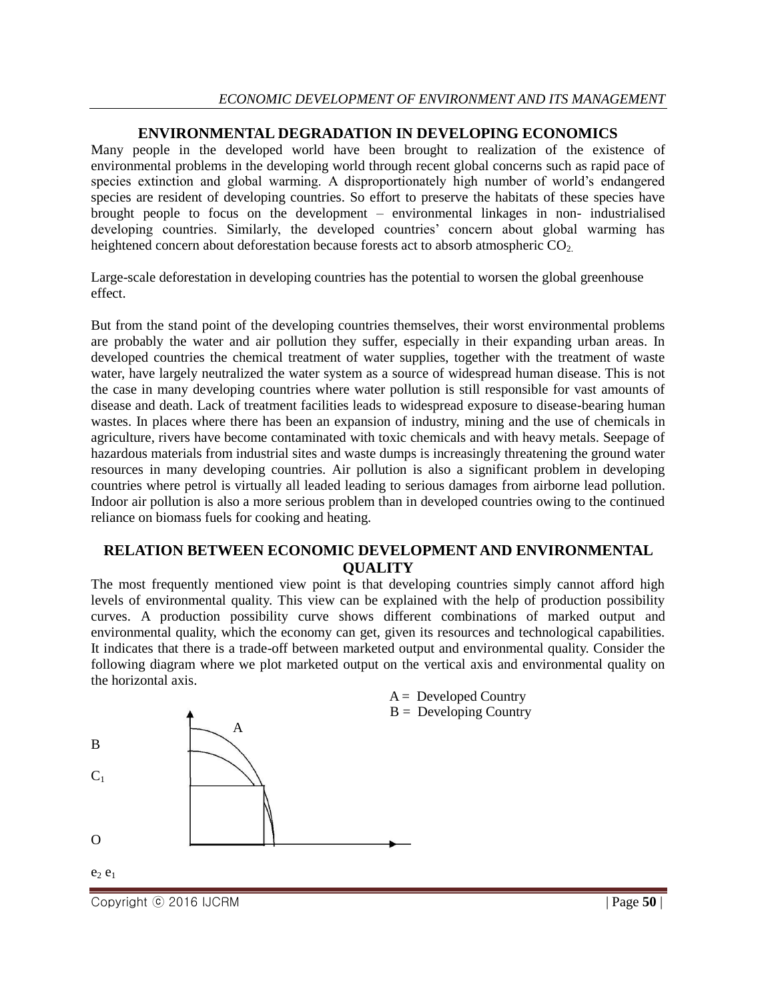## **ENVIRONMENTAL DEGRADATION IN DEVELOPING ECONOMICS**

Many people in the developed world have been brought to realization of the existence of environmental problems in the developing world through recent global concerns such as rapid pace of species extinction and global warming. A disproportionately high number of world's endangered species are resident of developing countries. So effort to preserve the habitats of these species have brought people to focus on the development – environmental linkages in non- industrialised developing countries. Similarly, the developed countries' concern about global warming has heightened concern about deforestation because forests act to absorb atmospheric CO<sub>2</sub>.

Large-scale deforestation in developing countries has the potential to worsen the global greenhouse effect.

But from the stand point of the developing countries themselves, their worst environmental problems are probably the water and air pollution they suffer, especially in their expanding urban areas. In developed countries the chemical treatment of water supplies, together with the treatment of waste water, have largely neutralized the water system as a source of widespread human disease. This is not the case in many developing countries where water pollution is still responsible for vast amounts of disease and death. Lack of treatment facilities leads to widespread exposure to disease-bearing human wastes. In places where there has been an expansion of industry, mining and the use of chemicals in agriculture, rivers have become contaminated with toxic chemicals and with heavy metals. Seepage of hazardous materials from industrial sites and waste dumps is increasingly threatening the ground water resources in many developing countries. Air pollution is also a significant problem in developing countries where petrol is virtually all leaded leading to serious damages from airborne lead pollution. Indoor air pollution is also a more serious problem than in developed countries owing to the continued reliance on biomass fuels for cooking and heating.

#### **RELATION BETWEEN ECONOMIC DEVELOPMENT AND ENVIRONMENTAL QUALITY**

The most frequently mentioned view point is that developing countries simply cannot afford high levels of environmental quality. This view can be explained with the help of production possibility curves. A production possibility curve shows different combinations of marked output and environmental quality, which the economy can get, given its resources and technological capabilities. It indicates that there is a trade-off between marketed output and environmental quality. Consider the following diagram where we plot marketed output on the vertical axis and environmental quality on the horizontal axis.



Copyright ⓒ 2016 IJCRM | Page **50** |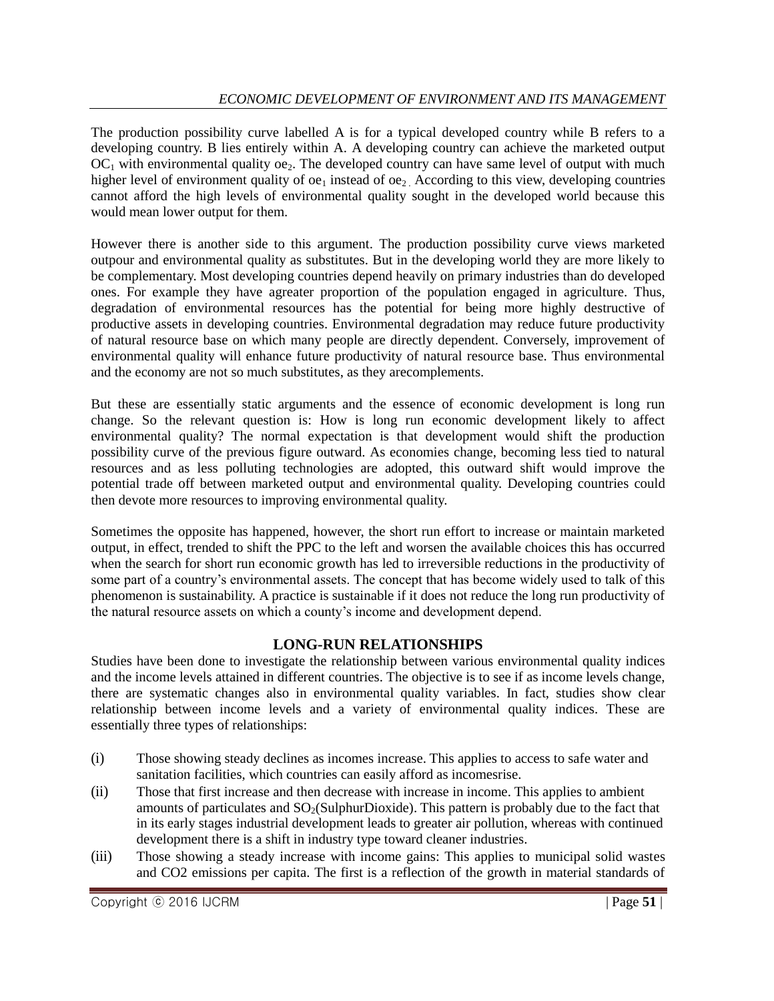The production possibility curve labelled A is for a typical developed country while B refers to a developing country. B lies entirely within A. A developing country can achieve the marketed output  $OC<sub>1</sub>$  with environmental quality  $oe<sub>2</sub>$ . The developed country can have same level of output with much higher level of environment quality of  $oe_1$  instead of  $oe_2$ . According to this view, developing countries cannot afford the high levels of environmental quality sought in the developed world because this would mean lower output for them.

However there is another side to this argument. The production possibility curve views marketed outpour and environmental quality as substitutes. But in the developing world they are more likely to be complementary. Most developing countries depend heavily on primary industries than do developed ones. For example they have agreater proportion of the population engaged in agriculture. Thus, degradation of environmental resources has the potential for being more highly destructive of productive assets in developing countries. Environmental degradation may reduce future productivity of natural resource base on which many people are directly dependent. Conversely, improvement of environmental quality will enhance future productivity of natural resource base. Thus environmental and the economy are not so much substitutes, as they arecomplements.

But these are essentially static arguments and the essence of economic development is long run change. So the relevant question is: How is long run economic development likely to affect environmental quality? The normal expectation is that development would shift the production possibility curve of the previous figure outward. As economies change, becoming less tied to natural resources and as less polluting technologies are adopted, this outward shift would improve the potential trade off between marketed output and environmental quality. Developing countries could then devote more resources to improving environmental quality.

Sometimes the opposite has happened, however, the short run effort to increase or maintain marketed output, in effect, trended to shift the PPC to the left and worsen the available choices this has occurred when the search for short run economic growth has led to irreversible reductions in the productivity of some part of a country's environmental assets. The concept that has become widely used to talk of this phenomenon is sustainability. A practice is sustainable if it does not reduce the long run productivity of the natural resource assets on which a county's income and development depend.

# **LONG-RUN RELATIONSHIPS**

Studies have been done to investigate the relationship between various environmental quality indices and the income levels attained in different countries. The objective is to see if as income levels change, there are systematic changes also in environmental quality variables. In fact, studies show clear relationship between income levels and a variety of environmental quality indices. These are essentially three types of relationships:

- (i) Those showing steady declines as incomes increase. This applies to access to safe water and sanitation facilities, which countries can easily afford as incomesrise.
- (ii) Those that first increase and then decrease with increase in income. This applies to ambient amounts of particulates and  $SO<sub>2</sub>(SubhurDivside)$ . This pattern is probably due to the fact that in its early stages industrial development leads to greater air pollution, whereas with continued development there is a shift in industry type toward cleaner industries.
- (iii) Those showing a steady increase with income gains: This applies to municipal solid wastes and CO2 emissions per capita. The first is a reflection of the growth in material standards of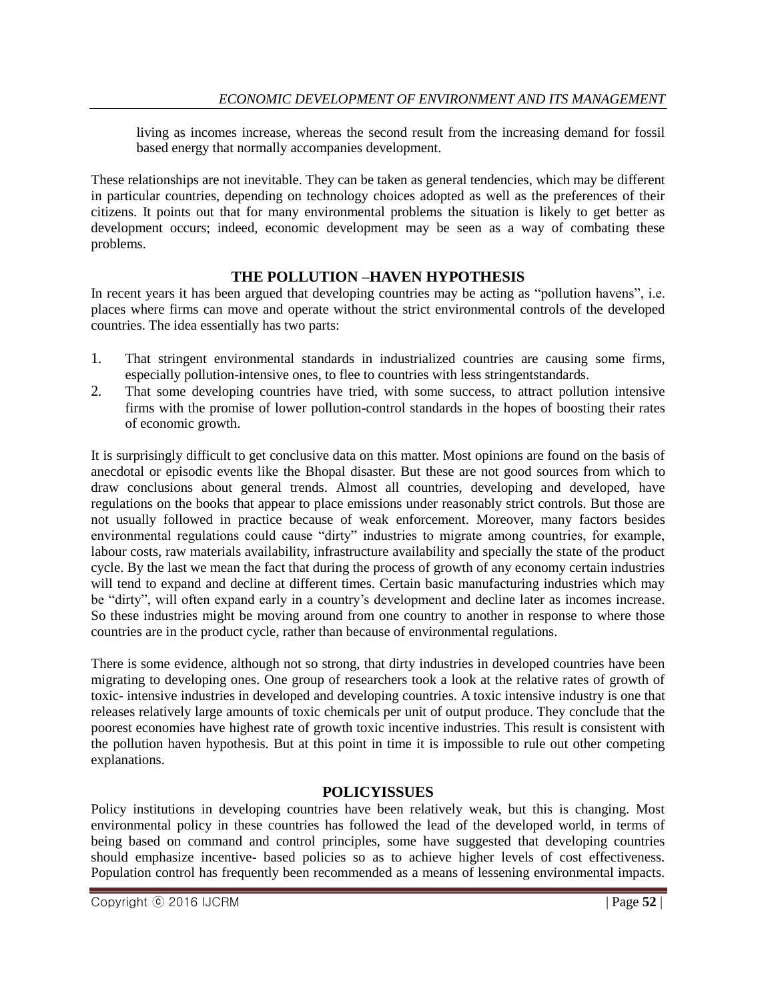living as incomes increase, whereas the second result from the increasing demand for fossil based energy that normally accompanies development.

These relationships are not inevitable. They can be taken as general tendencies, which may be different in particular countries, depending on technology choices adopted as well as the preferences of their citizens. It points out that for many environmental problems the situation is likely to get better as development occurs; indeed, economic development may be seen as a way of combating these problems.

## **THE POLLUTION –HAVEN HYPOTHESIS**

In recent years it has been argued that developing countries may be acting as "pollution havens", i.e. places where firms can move and operate without the strict environmental controls of the developed countries. The idea essentially has two parts:

- 1. That stringent environmental standards in industrialized countries are causing some firms, especially pollution-intensive ones, to flee to countries with less stringentstandards.
- 2. That some developing countries have tried, with some success, to attract pollution intensive firms with the promise of lower pollution-control standards in the hopes of boosting their rates of economic growth.

It is surprisingly difficult to get conclusive data on this matter. Most opinions are found on the basis of anecdotal or episodic events like the Bhopal disaster. But these are not good sources from which to draw conclusions about general trends. Almost all countries, developing and developed, have regulations on the books that appear to place emissions under reasonably strict controls. But those are not usually followed in practice because of weak enforcement. Moreover, many factors besides environmental regulations could cause "dirty" industries to migrate among countries, for example, labour costs, raw materials availability, infrastructure availability and specially the state of the product cycle. By the last we mean the fact that during the process of growth of any economy certain industries will tend to expand and decline at different times. Certain basic manufacturing industries which may be "dirty", will often expand early in a country's development and decline later as incomes increase. So these industries might be moving around from one country to another in response to where those countries are in the product cycle, rather than because of environmental regulations.

There is some evidence, although not so strong, that dirty industries in developed countries have been migrating to developing ones. One group of researchers took a look at the relative rates of growth of toxic- intensive industries in developed and developing countries. A toxic intensive industry is one that releases relatively large amounts of toxic chemicals per unit of output produce. They conclude that the poorest economies have highest rate of growth toxic incentive industries. This result is consistent with the pollution haven hypothesis. But at this point in time it is impossible to rule out other competing explanations.

# **POLICYISSUES**

Policy institutions in developing countries have been relatively weak, but this is changing. Most environmental policy in these countries has followed the lead of the developed world, in terms of being based on command and control principles, some have suggested that developing countries should emphasize incentive- based policies so as to achieve higher levels of cost effectiveness. Population control has frequently been recommended as a means of lessening environmental impacts.